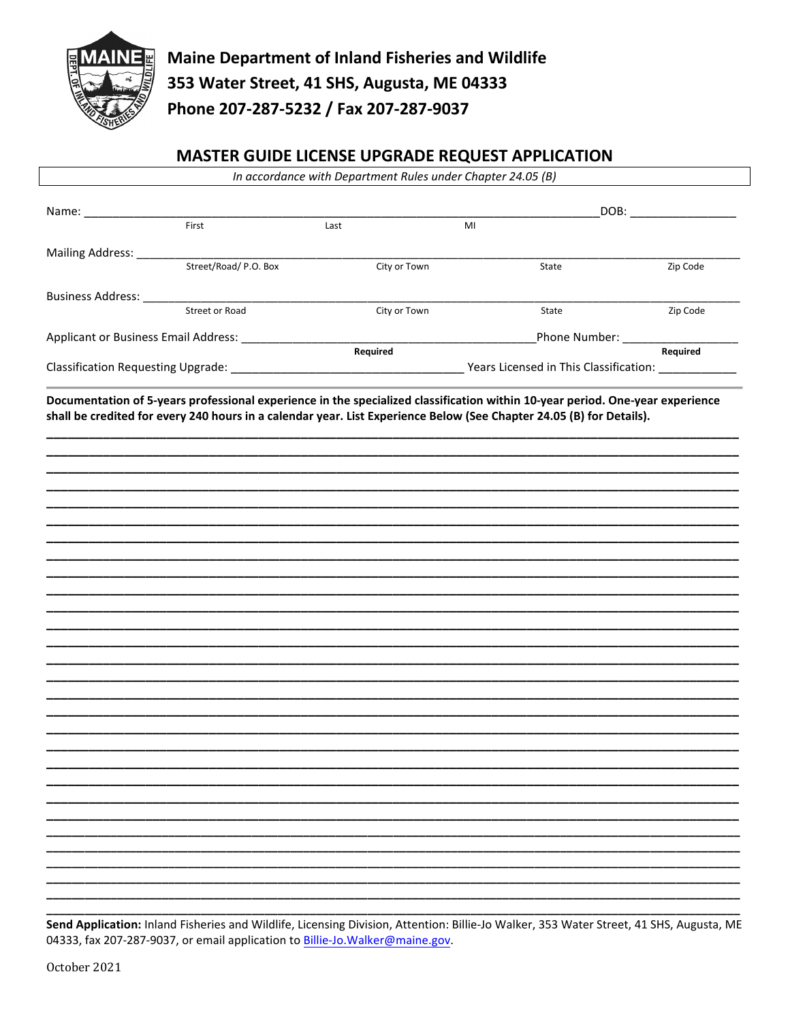

## MASTER GUIDE LICENSE UPGRADE REQUEST APPLICATION

| In accordance with Department Rules under Chapter 24.05 (B) |                       |              |                                                                                                                               |          |
|-------------------------------------------------------------|-----------------------|--------------|-------------------------------------------------------------------------------------------------------------------------------|----------|
|                                                             |                       |              | DOB: _________________                                                                                                        |          |
|                                                             | First                 | Last         | MI                                                                                                                            |          |
| Mailing Address: ______                                     |                       |              |                                                                                                                               |          |
|                                                             | Street/Road/ P.O. Box | City or Town | State                                                                                                                         | Zip Code |
| Business Address: ______                                    |                       |              |                                                                                                                               |          |
|                                                             | Street or Road        | City or Town | State                                                                                                                         | Zip Code |
|                                                             |                       |              |                                                                                                                               |          |
|                                                             |                       | Required     |                                                                                                                               |          |
|                                                             |                       |              |                                                                                                                               |          |
|                                                             |                       |              | Documentation of 5-years professional experience in the specialized classification within 10-year period. One-year experience |          |
|                                                             |                       |              | shall be credited for every 240 hours in a calendar year. List Experience Below (See Chapter 24.05 (B) for Details).          |          |
|                                                             |                       |              |                                                                                                                               |          |
|                                                             |                       |              |                                                                                                                               |          |
|                                                             |                       |              |                                                                                                                               |          |
|                                                             |                       |              |                                                                                                                               |          |
|                                                             |                       |              |                                                                                                                               |          |
|                                                             |                       |              |                                                                                                                               |          |
|                                                             |                       |              |                                                                                                                               |          |
|                                                             |                       |              |                                                                                                                               |          |
|                                                             |                       |              |                                                                                                                               |          |
|                                                             |                       |              |                                                                                                                               |          |
|                                                             |                       |              |                                                                                                                               |          |
|                                                             |                       |              |                                                                                                                               |          |
|                                                             |                       |              |                                                                                                                               |          |
|                                                             |                       |              |                                                                                                                               |          |
|                                                             |                       |              |                                                                                                                               |          |
|                                                             |                       |              |                                                                                                                               |          |
|                                                             |                       |              |                                                                                                                               |          |
|                                                             |                       |              |                                                                                                                               |          |
|                                                             |                       |              |                                                                                                                               |          |
|                                                             |                       |              |                                                                                                                               |          |
|                                                             |                       |              |                                                                                                                               |          |
|                                                             |                       |              |                                                                                                                               |          |
|                                                             |                       |              |                                                                                                                               |          |

Send Application: Inland Fisheries and Wildlife, Licensing Division, Attention: Billie-Jo Walker, 353 Water Street, 41 SHS, Augusta, ME 04333, fax 207-287-9037, or email application to Billie-Jo. Walker@maine.gov.